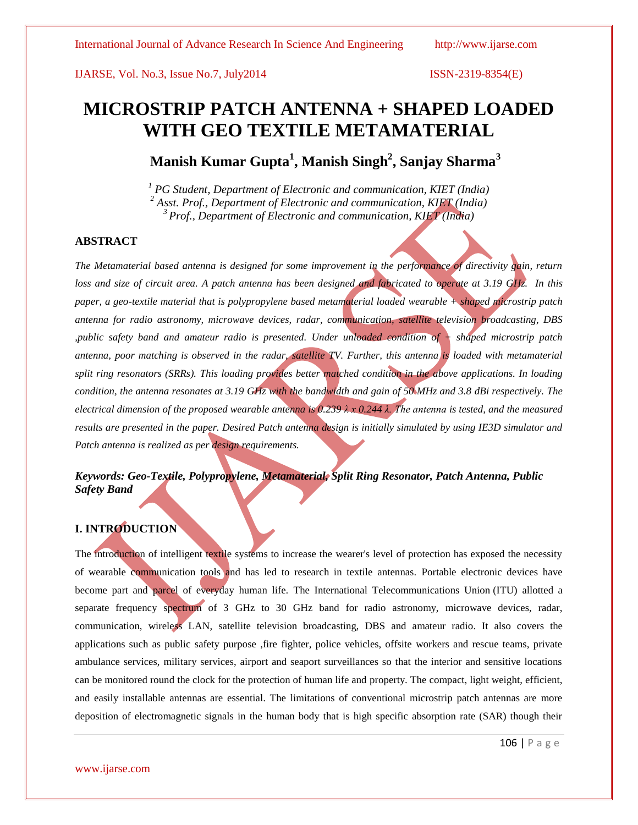# **MICROSTRIP PATCH ANTENNA + SHAPED LOADED WITH GEO TEXTILE METAMATERIAL**

**Manish Kumar Gupta<sup>1</sup> , Manish Singh<sup>2</sup> , Sanjay Sharma<sup>3</sup>**

*<sup>1</sup> PG Student, Department of Electronic and communication, KIET (India) <sup>2</sup> Asst. Prof., Department of Electronic and communication, KIET (India) <sup>3</sup>Prof., Department of Electronic and communication, KIET (India)*

# **ABSTRACT**

*The Metamaterial based antenna is designed for some improvement in the performance of directivity gain, return loss and size of circuit area. A patch antenna has been designed and fabricated to operate at 3.19 GHz. In this paper, a geo-textile material that is polypropylene based metamaterial loaded wearable + shaped microstrip patch antenna for radio astronomy, microwave devices, radar, communication, satellite television broadcasting, DBS ,public safety band and amateur radio is presented. Under unloaded condition of + shaped microstrip patch antenna, poor matching is observed in the radar, satellite TV. Further, this antenna is loaded with metamaterial split ring resonators (SRRs). This loading provides better matched condition in the above applications. In loading condition, the antenna resonates at 3.19 GHz with the bandwidth and gain of 50 MHz and 3.8 dBi respectively. The electrical dimension of the proposed wearable antenna is 0.239 λ x 0.244 λ. The antenna is tested, and the measured results are presented in the paper. Desired Patch antenna design is initially simulated by using IE3D simulator and Patch antenna is realized as per design requirements.*

# *Keywords: Geo-Textile, Polypropylene, Metamaterial, Split Ring Resonator, Patch Antenna, Public Safety Band*

# **I. INTRODUCTION**

The introduction of intelligent textile systems to increase the wearer's level of protection has exposed the necessity of wearable communication tools and has led to research in textile antennas. Portable electronic devices have become part and parcel of everyday human life. The [International Telecommunications Union](http://en.wikipedia.org/wiki/International_Telecommunications_Union) (ITU) allotted a separate frequency spectrum of 3 GHz to 30 GHz band for radio astronomy, microwave devices, radar, communication, wireless LAN, satellite television broadcasting, DBS and amateur radio. It also covers the applications such as public safety purpose ,fire fighter, police vehicles, offsite workers and rescue teams, private ambulance services, military services, airport and seaport surveillances so that the interior and sensitive locations can be monitored round the clock for the protection of human life and property. The compact, light weight, efficient, and easily installable antennas are essential. The limitations of conventional microstrip patch antennas are more deposition of electromagnetic signals in the human body that is high specific absorption rate (SAR) though their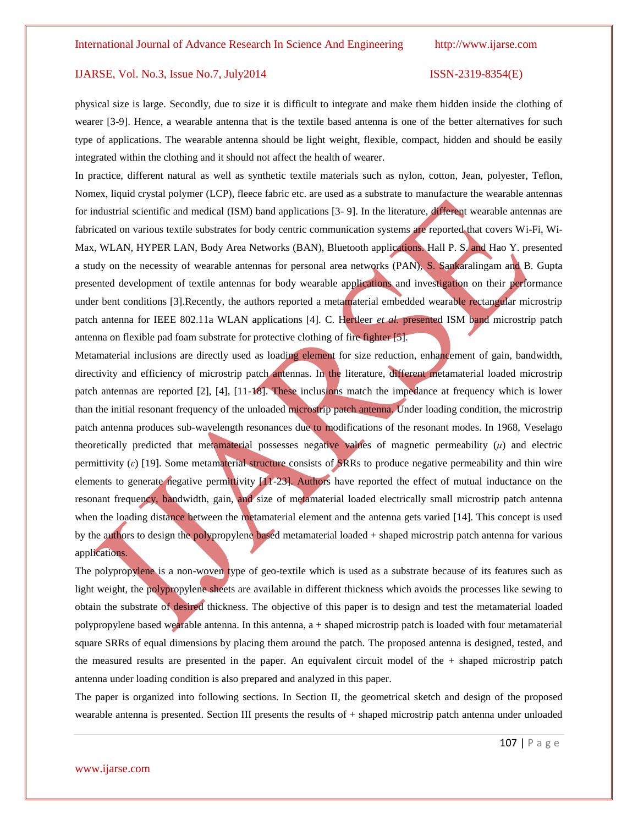physical size is large. Secondly, due to size it is difficult to integrate and make them hidden inside the clothing of wearer [3-9]. Hence, a wearable antenna that is the textile based antenna is one of the better alternatives for such type of applications. The wearable antenna should be light weight, flexible, compact, hidden and should be easily integrated within the clothing and it should not affect the health of wearer.

In practice, different natural as well as synthetic textile materials such as nylon, cotton, Jean, polyester, Teflon, Nomex, liquid crystal polymer (LCP), fleece fabric etc. are used as a substrate to manufacture the wearable antennas for industrial scientific and medical (ISM) band applications [3- 9]. In the literature, different wearable antennas are fabricated on various textile substrates for body centric communication systems are reported that covers Wi-Fi, Wi-Max, WLAN, HYPER LAN, Body Area Networks (BAN), Bluetooth applications. Hall P. S. and Hao Y. presented a study on the necessity of wearable antennas for personal area networks (PAN), S. Sankaralingam and B. Gupta presented development of textile antennas for body wearable applications and investigation on their performance under bent conditions [3].Recently, the authors reported a metamaterial embedded wearable rectangular microstrip patch antenna for IEEE 802.11a WLAN applications [4]. C. Hertleer *et al.* presented ISM band microstrip patch antenna on flexible pad foam substrate for protective clothing of fire fighter [5].

Metamaterial inclusions are directly used as loading element for size reduction, enhancement of gain, bandwidth, directivity and efficiency of microstrip patch antennas. In the literature, different metamaterial loaded microstrip patch antennas are reported [2], [4], [11-18]. These inclusions match the impedance at frequency which is lower than the initial resonant frequency of the unloaded microstrip patch antenna. Under loading condition, the microstrip patch antenna produces sub-wavelength resonances due to modifications of the resonant modes. In 1968, Veselago theoretically predicted that metamaterial possesses negative values of magnetic permeability (*μ*) and electric permittivity (*ε*) [19]. Some metamaterial structure consists of SRRs to produce negative permeability and thin wire elements to generate negative permittivity [11-23]. Authors have reported the effect of mutual inductance on the resonant frequency, bandwidth, gain, and size of metamaterial loaded electrically small microstrip patch antenna when the loading distance between the metamaterial element and the antenna gets varied [14]. This concept is used by the authors to design the polypropylene based metamaterial loaded + shaped microstrip patch antenna for various applications.

The polypropylene is a non-woven type of geo-textile which is used as a substrate because of its features such as light weight, the polypropylene sheets are available in different thickness which avoids the processes like sewing to obtain the substrate of desired thickness. The objective of this paper is to design and test the metamaterial loaded polypropylene based wearable antenna. In this antenna,  $a + shape$ d microstrip patch is loaded with four metamaterial square SRRs of equal dimensions by placing them around the patch. The proposed antenna is designed, tested, and the measured results are presented in the paper. An equivalent circuit model of the  $+$  shaped microstrip patch antenna under loading condition is also prepared and analyzed in this paper.

The paper is organized into following sections. In Section II, the geometrical sketch and design of the proposed wearable antenna is presented. Section III presents the results of + shaped microstrip patch antenna under unloaded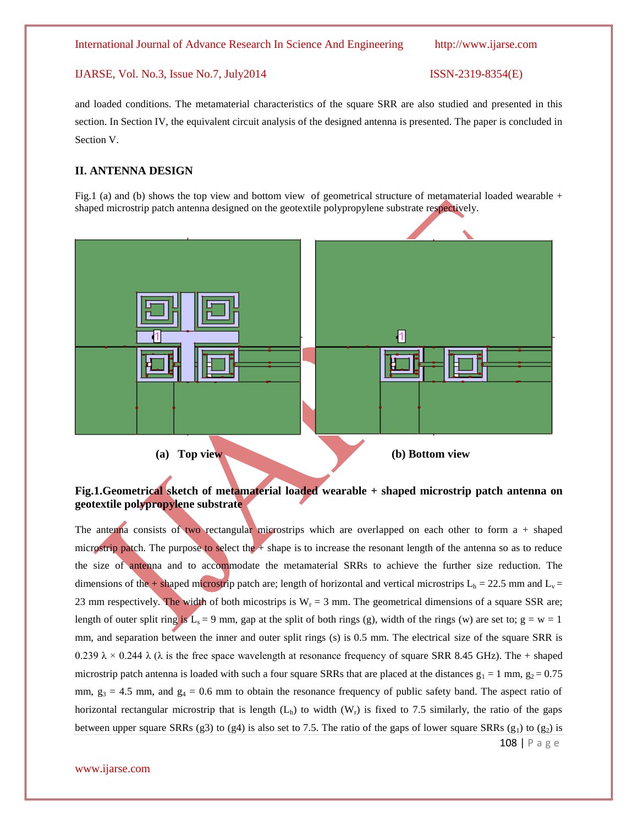and loaded conditions. The metamaterial characteristics of the square SRR are also studied and presented in this section. In Section IV, the equivalent circuit analysis of the designed antenna is presented. The paper is concluded in Section V.

# **II. ANTENNA DESIGN**

Fig.1 (a) and (b) shows the top view and bottom view of geometrical structure of metamaterial loaded wearable + shaped microstrip patch antenna designed on the geotextile polypropylene substrate respectively.



# **Fig.1.Geometrical sketch of metamaterial loaded wearable + shaped microstrip patch antenna on geotextile polypropylene substrate**

108 | P a g e The antenna consists of two rectangular microstrips which are overlapped on each other to form  $a + shape$ microstrip patch. The purpose to select the + shape is to increase the resonant length of the antenna so as to reduce the size of antenna and to accommodate the metamaterial SRRs to achieve the further size reduction. The dimensions of the + shaped microstrip patch are; length of horizontal and vertical microstrips  $L_h = 22.5$  mm and  $L_v =$ 23 mm respectively. The width of both micostrips is  $W_r = 3$  mm. The geometrical dimensions of a square SSR are; length of outer split ring is  $L_s = 9$  mm, gap at the split of both rings (g), width of the rings (w) are set to;  $g = w = 1$ mm, and separation between the inner and outer split rings (s) is 0.5 mm. The electrical size of the square SRR is 0.239  $\lambda \times 0.244$   $\lambda$  ( $\lambda$  is the free space wavelength at resonance frequency of square SRR 8.45 GHz). The + shaped microstrip patch antenna is loaded with such a four square SRRs that are placed at the distances  $g_1 = 1$  mm,  $g_2 = 0.75$ mm,  $g_3 = 4.5$  mm, and  $g_4 = 0.6$  mm to obtain the resonance frequency of public safety band. The aspect ratio of horizontal rectangular microstrip that is length  $(L<sub>h</sub>)$  to width  $(W<sub>r</sub>)$  is fixed to 7.5 similarly, the ratio of the gaps between upper square SRRs (g3) to (g4) is also set to 7.5. The ratio of the gaps of lower square SRRs (g<sub>1</sub>) to (g<sub>2</sub>) is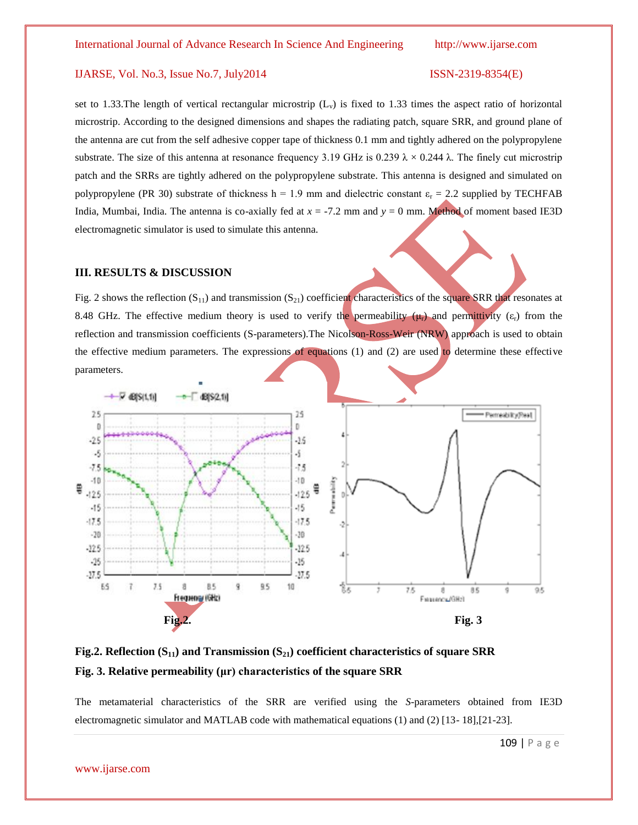set to 1.33. The length of vertical rectangular microstrip  $(L_v)$  is fixed to 1.33 times the aspect ratio of horizontal microstrip. According to the designed dimensions and shapes the radiating patch, square SRR, and ground plane of the antenna are cut from the self adhesive copper tape of thickness 0.1 mm and tightly adhered on the polypropylene substrate. The size of this antenna at resonance frequency 3.19 GHz is 0.239  $\lambda \times 0.244$   $\lambda$ . The finely cut microstrip patch and the SRRs are tightly adhered on the polypropylene substrate. This antenna is designed and simulated on polypropylene (PR 30) substrate of thickness h = 1.9 mm and dielectric constant  $\varepsilon_r = 2.2$  supplied by TECHFAB India, Mumbai, India. The antenna is co-axially fed at *x* = -7.2 mm and *y* = 0 mm. Method of moment based IE3D electromagnetic simulator is used to simulate this antenna.

### **III. RESULTS & DISCUSSION**

Fig. 2 shows the reflection  $(S_{11})$  and transmission  $(S_{21})$  coefficient characteristics of the square SRR that resonates at 8.48 GHz. The effective medium theory is used to verify the permeability  $(\mu_r)$  and permittivity  $(\varepsilon_r)$  from the reflection and transmission coefficients (S-parameters).The Nicolson-Ross-Weir (NRW) approach is used to obtain the effective medium parameters. The expressions of equations  $(1)$  and  $(2)$  are used to determine these effective parameters.



**Fig.2. Reflection (S11) and Transmission (S21) coefficient characteristics of square SRR Fig. 3. Relative permeability (μr) characteristics of the square SRR**

The metamaterial characteristics of the SRR are verified using the *S*-parameters obtained from IE3D electromagnetic simulator and MATLAB code with mathematical equations (1) and (2) [13- 18],[21-23].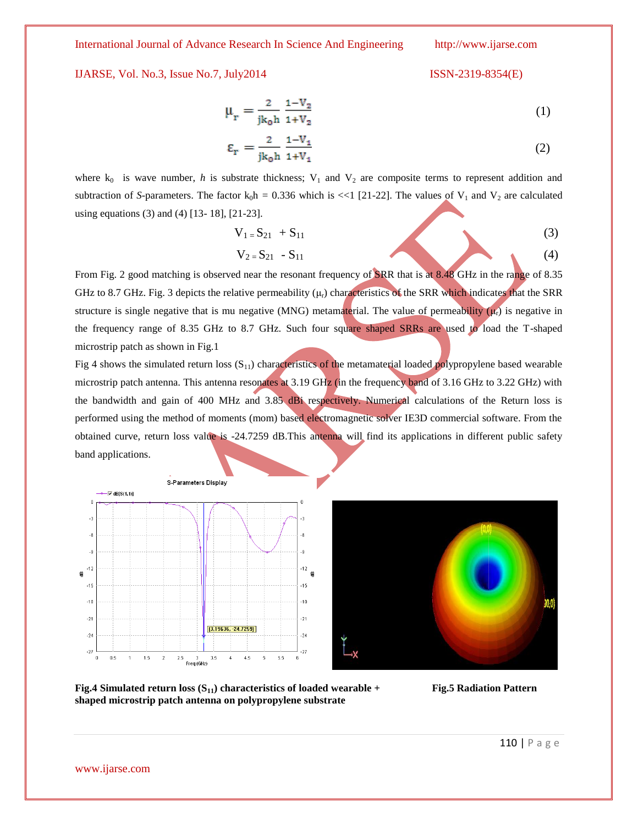International Journal of Advance Research In Science And Engineering http://www.ijarse.com

IJARSE, Vol. No.3, Issue No.7, July2014 ISSN-2319-8354(E)

$$
\mu_r = \frac{2}{jk_0 h} \frac{1 - V_2}{1 + V_2} \tag{1}
$$

$$
\varepsilon_{\rm r} = \frac{2}{\text{jk}_0 \text{h}} \frac{1 - V_1}{1 + V_1} \tag{2}
$$

where  $k_0$  is wave number, *h* is substrate thickness;  $V_1$  and  $V_2$  are composite terms to represent addition and subtraction of *S*-parameters. The factor  $k_0h = 0.336$  which is <<1 [21-22]. The values of  $V_1$  and  $V_2$  are calculated using equations (3) and (4) [13- 18], [21-23].

$$
V_{1} = S_{21} + S_{11}
$$
\n
$$
V_{2} = S_{21} - S_{11}
$$
\n(3)

From Fig. 2 good matching is observed near the resonant frequency of SRR that is at 8.48 GHz in the range of 8.35 GHz to 8.7 GHz. Fig. 3 depicts the relative permeability  $(\mu_r)$  characteristics of the SRR which indicates that the SRR structure is single negative that is mu negative (MNG) metamaterial. The value of permeability  $(\mu_r)$  is negative in the frequency range of 8.35 GHz to 8.7 GHz. Such four square shaped SRRs are used to load the T-shaped microstrip patch as shown in Fig.1

Fig 4 shows the simulated return loss  $(S_{11})$  characteristics of the metamaterial loaded polypropylene based wearable microstrip patch antenna. This antenna resonates at 3.19 GHz (in the frequency band of 3.16 GHz to 3.22 GHz) with the bandwidth and gain of 400 MHz and 3.85 dBi respectively. Numerical calculations of the Return loss is performed using the method of moments (mom) based electromagnetic solver IE3D commercial software. From the obtained curve, return loss value is -24.7259 dB.This antenna will find its applications in different public safety band applications.





**Fig.4 Simulated return loss (S11) characteristics of loaded wearable + Fig.5 Radiation Pattern shaped microstrip patch antenna on polypropylene substrate**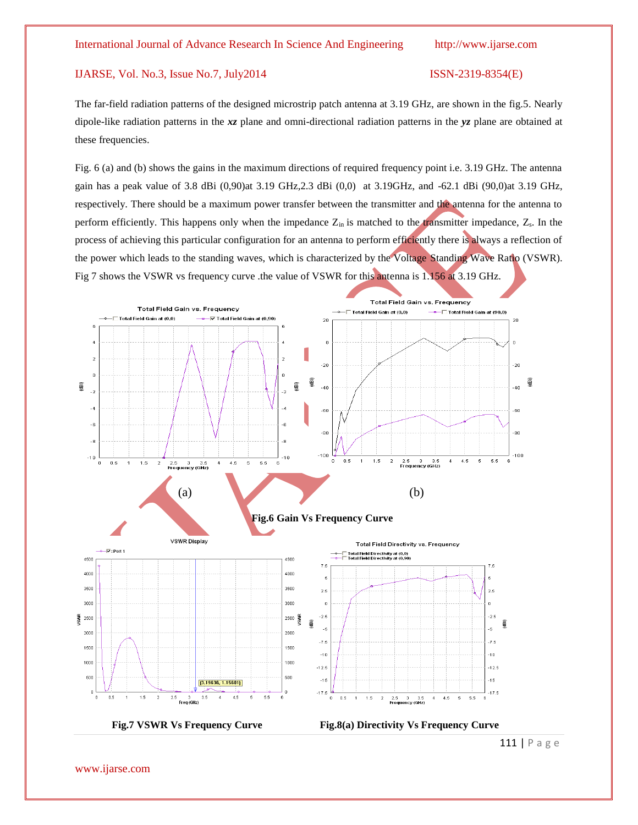The far-field radiation patterns of the designed microstrip patch antenna at 3.19 GHz, are shown in the fig.5. Nearly dipole-like radiation patterns in the *xz* plane and omni-directional radiation patterns in the *yz* plane are obtained at these frequencies.

Fig. 6 (a) and (b) shows the gains in the maximum directions of required frequency point i.e. 3.19 GHz. The antenna gain has a peak value of 3.8 dBi (0,90)at 3.19 GHz,2.3 dBi (0,0) at 3.19GHz, and -62.1 dBi (90,0)at 3.19 GHz, respectively. There should be a maximum power transfer between the transmitter and the antenna for the antenna to perform efficiently. This happens only when the impedance  $Z_{in}$  is matched to the transmitter impedance,  $Z_{s}$ . In the process of achieving this particular configuration for an antenna to perform efficiently there is always a reflection of the power which leads to the standing waves, which is characterized by the Voltage Standing Wave Ratio (VSWR). Fig 7 shows the VSWR vs frequency curve .the value of VSWR for this antenna is 1.156 at 3.19 GHz.



111 | P a g e

www.ijarse.com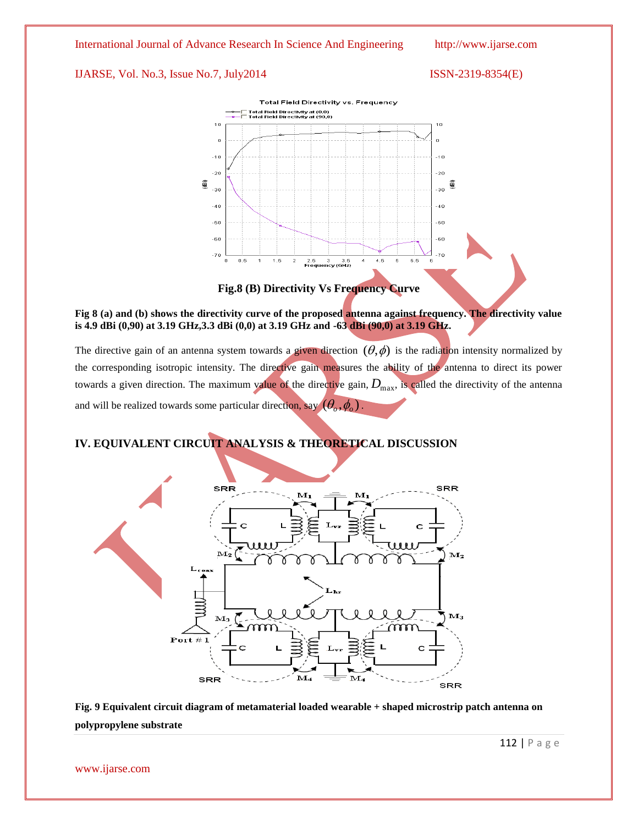



**Fig.8 (B) Directivity Vs Frequency Curve**

**Fig 8 (a) and (b) shows the directivity curve of the proposed antenna against frequency. The directivity value is 4.9 dBi (0,90) at 3.19 GHz,3.3 dBi (0,0) at 3.19 GHz and -63 dBi (90,0) at 3.19 GHz.**

The directive gain of an antenna system towards a given direction  $(\theta, \phi)$  is the radiation intensity normalized by the corresponding isotropic intensity. The directive gain measures the ability of the antenna to direct its power towards a given direction. The maximum value of the directive gain,  $D_{\text{max}}$ , is called the directivity of the antenna and will be realized towards some particular direction, say  $(\theta_o, \phi_o)$ .

# **IV. EQUIVALENT CIRCUIT ANALYSIS & THEORETICAL DISCUSSION**



**Fig. 9 Equivalent circuit diagram of metamaterial loaded wearable + shaped microstrip patch antenna on polypropylene substrate**

www.ijarse.com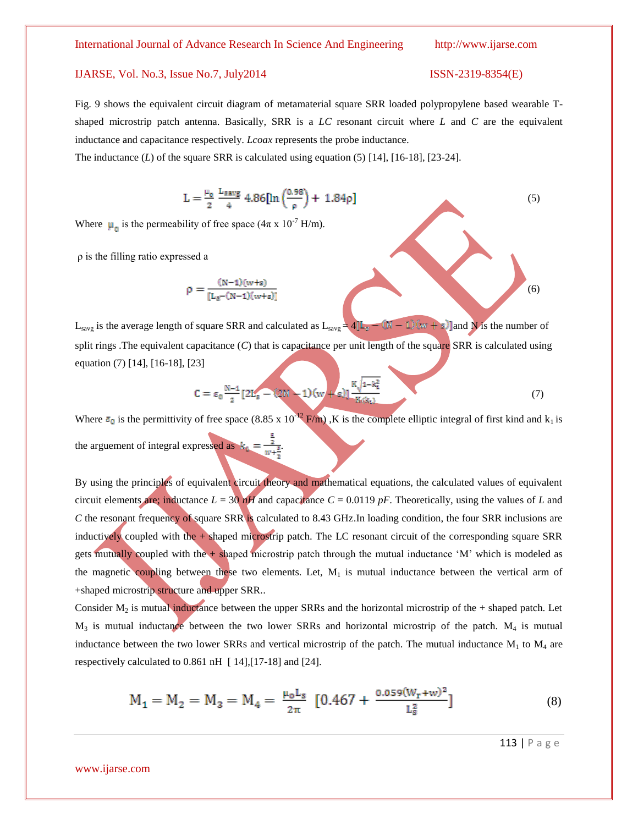### International Journal of Advance Research In Science And Engineering http://www.ijarse.com

# IJARSE, Vol. No.3, Issue No.7, July2014 ISSN-2319-8354(E)

Fig. 9 shows the equivalent circuit diagram of metamaterial square SRR loaded polypropylene based wearable Tshaped microstrip patch antenna. Basically, SRR is a *LC* resonant circuit where *L* and *C* are the equivalent inductance and capacitance respectively. *Lcoax* represents the probe inductance.

The inductance  $(L)$  of the square SRR is calculated using equation  $(5)$  [14], [16-18], [23-24].

$$
L = \frac{\mu_0}{2} \frac{L_{\text{sayg}}}{4} 4.86 [\ln \left( \frac{0.98}{\rho} \right) + 1.84 \rho] \tag{5}
$$

Where  $\mu_{\rm n}$  is the permeability of free space (4 $\pi$  x 10<sup>-7</sup> H/m).

ρ is the filling ratio expressed a

$$
\rho = \frac{(N-1)(w+s)}{[L_s - (N-1)(w+s)]}
$$
(6)

L<sub>savg</sub> is the average length of square SRR and calculated as  $L_{savg} = 4[L_{\overline{s}} - (N - 1)(w + s)]$  and N is the number of split rings .The equivalent capacitance  $(C)$  that is capacitance per unit length of the square SRR is calculated using equation (7) [14], [16-18], [23]

$$
C = \epsilon_0 \frac{N-1}{2} [2L_s - (2N-1)(w + s)] \frac{K \sqrt{1 - k_1^2}}{K_s(k_1)}
$$
(7)

Where  $\varepsilon_0$  is the permittivity of free space (8.85 x 10<sup>-12</sup> F/m), K is the complete elliptic integral of first kind and k<sub>1</sub> is the arguement of integral expressed as  $k_4 = \frac{2}{w+1}$ .

By using the principles of equivalent circuit theory and mathematical equations, the calculated values of equivalent circuit elements are; inductance  $L = 30 \text{ hH}$  and capacitance  $C = 0.0119 \text{ pF}$ . Theoretically, using the values of *L* and *C* the resonant frequency of square SRR is calculated to 8.43 GHz.In loading condition, the four SRR inclusions are inductively coupled with the + shaped microstrip patch. The LC resonant circuit of the corresponding square SRR gets mutually coupled with the + shaped microstrip patch through the mutual inductance "M" which is modeled as the magnetic coupling between these two elements. Let,  $M_1$  is mutual inductance between the vertical arm of +shaped microstrip structure and upper SRR..

Consider  $M_2$  is mutual inductance between the upper SRRs and the horizontal microstrip of the + shaped patch. Let  $M_3$  is mutual inductance between the two lower SRRs and horizontal microstrip of the patch.  $M_4$  is mutual inductance between the two lower SRRs and vertical microstrip of the patch. The mutual inductance  $M_1$  to  $M_4$  are respectively calculated to 0.861 nH [ 14],[17-18] and [24].

$$
M_1 = M_2 = M_3 = M_4 = \frac{\mu_0 L_s}{2\pi} \left[ 0.467 + \frac{0.059(W_r + w)^2}{L_s^2} \right]
$$
 (8)

113 | P a g e

www.ijarse.com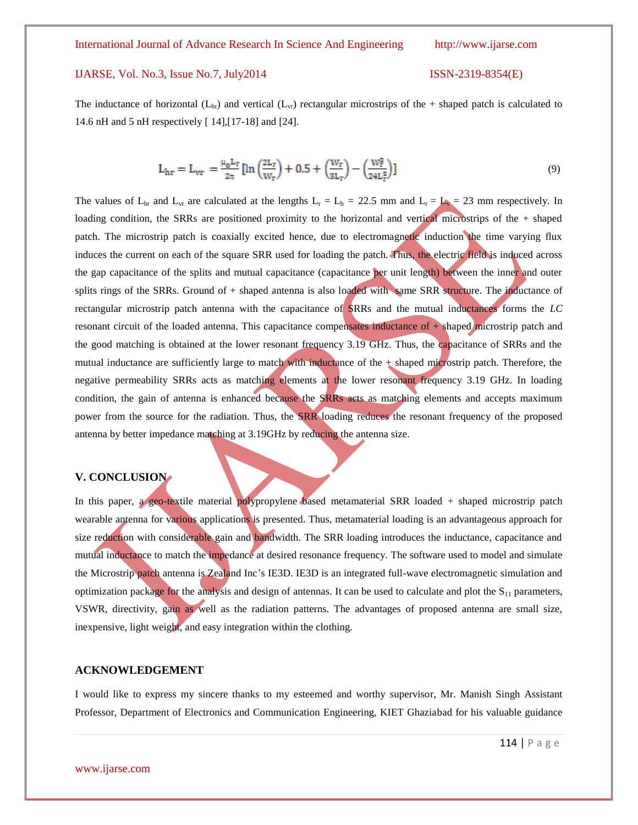The inductance of horizontal  $(L<sub>hr</sub>)$  and vertical  $(L<sub>vr</sub>)$  rectangular microstrips of the + shaped patch is calculated to 14.6 nH and 5 nH respectively [ 14],[17-18] and [24].

$$
L_{hr} = L_{vr} = \frac{\mu_0 L_r}{2\pi} \left[ \ln \left( \frac{2L_r}{W_r} \right) + 0.5 + \left( \frac{W_r}{3L_r} \right) - \left( \frac{W_r^2}{24L_r^2} \right) \right]
$$
(9)

The values of  $L_{hr}$  and  $L_{vr}$  are calculated at the lengths  $L_r = L_h = 22.5$  mm and  $L_r = L_v = 23$  mm respectively. In loading condition, the SRRs are positioned proximity to the horizontal and vertical microstrips of the + shaped patch. The microstrip patch is coaxially excited hence, due to electromagnetic induction the time varying flux induces the current on each of the square SRR used for loading the patch. Thus, the electric field is induced across the gap capacitance of the splits and mutual capacitance (capacitance per unit length) between the inner and outer splits rings of the SRRs. Ground of + shaped antenna is also loaded with same SRR structure. The inductance of rectangular microstrip patch antenna with the capacitance of SRRs and the mutual inductances forms the *LC*  resonant circuit of the loaded antenna. This capacitance compensates inductance of + shaped microstrip patch and the good matching is obtained at the lower resonant frequency 3.19 GHz. Thus, the capacitance of SRRs and the mutual inductance are sufficiently large to match with inductance of the  $+$  shaped microstrip patch. Therefore, the negative permeability SRRs acts as matching elements at the lower resonant frequency 3.19 GHz. In loading condition, the gain of antenna is enhanced because the SRRs acts as matching elements and accepts maximum power from the source for the radiation. Thus, the SRR loading reduces the resonant frequency of the proposed antenna by better impedance matching at 3.19GHz by reducing the antenna size.

### **V. CONCLUSION**

In this paper, a geo-textile material polypropylene based metamaterial SRR loaded + shaped microstrip patch wearable antenna for various applications is presented. Thus, metamaterial loading is an advantageous approach for size reduction with considerable gain and bandwidth. The SRR loading introduces the inductance, capacitance and mutual inductance to match the impedance at desired resonance frequency. The software used to model and simulate the Microstrip patch antenna is Zealand Inc"s IE3D. IE3D is an integrated full-wave electromagnetic simulation and optimization package for the analysis and design of antennas. It can be used to calculate and plot the  $S_{11}$  parameters, VSWR, directivity, gain as well as the radiation patterns. The advantages of proposed antenna are small size, inexpensive, light weight, and easy integration within the clothing.

# **ACKNOWLEDGEMENT**

I would like to express my sincere thanks to my esteemed and worthy supervisor, Mr. Manish Singh Assistant Professor, Department of Electronics and Communication Engineering, KIET Ghaziabad for his valuable guidance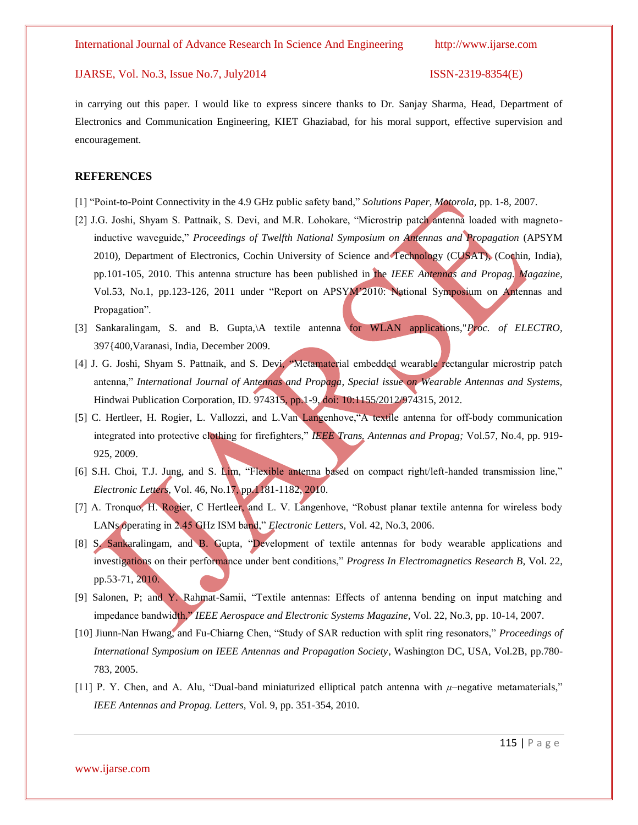in carrying out this paper. I would like to express sincere thanks to Dr. Sanjay Sharma, Head, Department of Electronics and Communication Engineering, KIET Ghaziabad, for his moral support, effective supervision and encouragement.

# **REFERENCES**

- [1] "Point-to-Point Connectivity in the 4.9 GHz public safety band," *Solutions Paper, Motorola,* pp. 1-8, 2007.
- [2] J.G. Joshi, Shyam S. Pattnaik, S. Devi, and M.R. Lohokare, "Microstrip patch antenna loaded with magnetoinductive waveguide," *Proceedings of Twelfth National Symposium on Antennas and Propagation* (APSYM 2010), Department of Electronics, Cochin University of Science and Technology (CUSAT), (Cochin, India), pp.101-105, 2010. This antenna structure has been published in the *IEEE Antennas and Propag. Magazine,*  Vol.53, No.1, pp.123-126, 2011 under "Report on APSYM'2010: National Symposium on Antennas and Propagation".
- [3] Sankaralingam, S. and B. Gupta,\A textile antenna for WLAN applications,"*Proc. of ELECTRO*, 397{400,Varanasi, India, December 2009.
- [4] J. G. Joshi, Shyam S. Pattnaik, and S. Devi, "Metamaterial embedded wearable rectangular microstrip patch antenna," *International Journal of Antennas and Propaga*, *Special issue on Wearable Antennas and Systems,*  Hindwai Publication Corporation, ID. 974315, pp.1-9, doi: 10:1155/2012/974315, 2012.
- [5] C. Hertleer, H. Rogier*,* L. Vallozzi, and L.Van Langenhove,"A textile antenna for off-body communication integrated into protective clothing for firefighters," *IEEE Trans. Antennas and Propag;* Vol.57, No.4, pp. 919- 925, 2009.
- [6] S.H. Choi, T.J. Jung, and S. Lim, "Flexible antenna based on compact right/left-handed transmission line," *Electronic Letters*, Vol. 46, No.17, pp.1181-1182, 2010.
- [7] A. Tronquo, H. Rogier, C Hertleer, and L. V. Langenhove, "Robust planar textile antenna for wireless body LANs operating in 2.45 GHz ISM band," *Electronic Letters,* Vol. 42, No.3, 2006.
- [8] S. Sankaralingam, and B. Gupta*,* "Development of textile antennas for body wearable applications and investigations on their performance under bent conditions," *Progress In Electromagnetics Research B,* Vol. 22, pp.53-71, 2010.
- [9] Salonen, P; and Y. Rahmat-Samii, "Textile antennas: Effects of antenna bending on input matching and impedance bandwidth," *IEEE Aerospace and Electronic Systems Magazine*, Vol. 22, No.3, pp. 10-14, 2007.
- [10] Jiunn-Nan Hwang, and Fu-Chiarng Chen, "Study of SAR reduction with split ring resonators," *Proceedings of International Symposium on IEEE Antennas and Propagation Society*, Washington DC, USA, Vol.2B, pp.780- 783, 2005.
- [11] P. Y. Chen, and A. Alu, "Dual-band miniaturized elliptical patch antenna with *μ*–negative metamaterials," *IEEE Antennas and Propag. Letters,* Vol. 9, pp. 351-354, 2010.